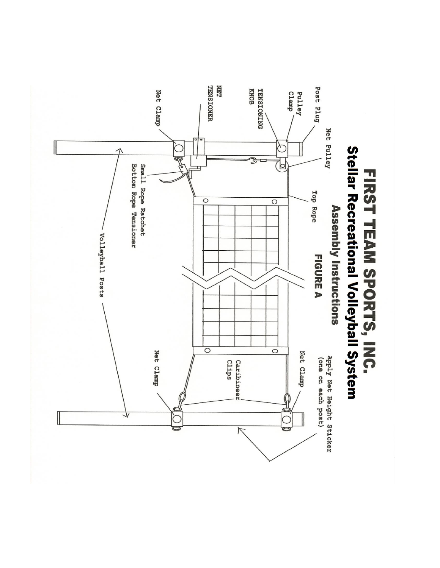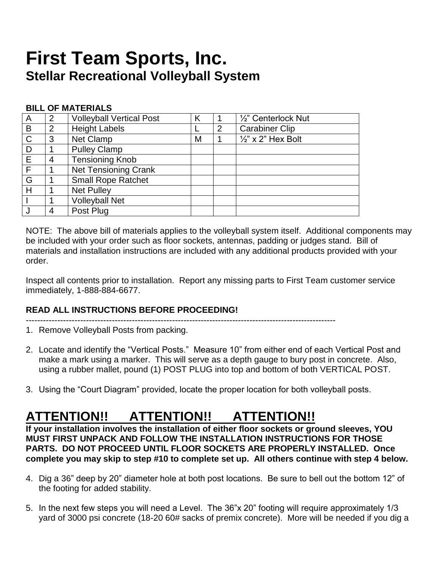# **First Team Sports, Inc. Stellar Recreational Volleyball System**

### **BILL OF MATERIALS**

| A            | 2              | <b>Volleyball Vertical Post</b> |   |                | 1/2" Centerlock Nut           |
|--------------|----------------|---------------------------------|---|----------------|-------------------------------|
| B            | $\overline{2}$ | <b>Height Labels</b>            |   | $\overline{2}$ | <b>Carabiner Clip</b>         |
| $\mathsf{C}$ | 3              | Net Clamp                       | M |                | $\frac{1}{2}$ " x 2" Hex Bolt |
| D            |                | <b>Pulley Clamp</b>             |   |                |                               |
| E            | 4              | <b>Tensioning Knob</b>          |   |                |                               |
| $\mathsf{F}$ |                | <b>Net Tensioning Crank</b>     |   |                |                               |
| G            |                | <b>Small Rope Ratchet</b>       |   |                |                               |
| H            |                | <b>Net Pulley</b>               |   |                |                               |
|              |                | <b>Volleyball Net</b>           |   |                |                               |
|              | 4              | Post Plug                       |   |                |                               |

NOTE: The above bill of materials applies to the volleyball system itself. Additional components may be included with your order such as floor sockets, antennas, padding or judges stand. Bill of materials and installation instructions are included with any additional products provided with your order.

Inspect all contents prior to installation. Report any missing parts to First Team customer service immediately, 1-888-884-6677.

## **READ ALL INSTRUCTIONS BEFORE PROCEEDING!**

------------------------------------------------------------------------------------------------------------

- 1. Remove Volleyball Posts from packing.
- 2. Locate and identify the "Vertical Posts." Measure 10" from either end of each Vertical Post and make a mark using a marker. This will serve as a depth gauge to bury post in concrete. Also, using a rubber mallet, pound (1) POST PLUG into top and bottom of both VERTICAL POST.
- 3. Using the "Court Diagram" provided, locate the proper location for both volleyball posts.

# **ATTENTION!! ATTENTION!! ATTENTION!!**

**If your installation involves the installation of either floor sockets or ground sleeves, YOU MUST FIRST UNPACK AND FOLLOW THE INSTALLATION INSTRUCTIONS FOR THOSE PARTS. DO NOT PROCEED UNTIL FLOOR SOCKETS ARE PROPERLY INSTALLED. Once complete you may skip to step #10 to complete set up. All others continue with step 4 below.**

- 4. Dig a 36" deep by 20" diameter hole at both post locations. Be sure to bell out the bottom 12" of the footing for added stability.
- 5. In the next few steps you will need a Level. The 36"x 20" footing will require approximately 1/3 yard of 3000 psi concrete (18-20 60# sacks of premix concrete). More will be needed if you dig a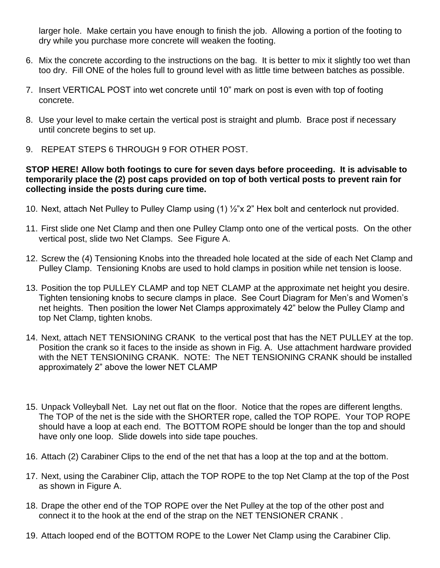larger hole. Make certain you have enough to finish the job. Allowing a portion of the footing to dry while you purchase more concrete will weaken the footing.

- 6. Mix the concrete according to the instructions on the bag. It is better to mix it slightly too wet than too dry. Fill ONE of the holes full to ground level with as little time between batches as possible.
- 7. Insert VERTICAL POST into wet concrete until 10" mark on post is even with top of footing concrete.
- 8. Use your level to make certain the vertical post is straight and plumb. Brace post if necessary until concrete begins to set up.
- 9. REPEAT STEPS 6 THROUGH 9 FOR OTHER POST.

### **STOP HERE! Allow both footings to cure for seven days before proceeding. It is advisable to temporarily place the (2) post caps provided on top of both vertical posts to prevent rain for collecting inside the posts during cure time.**

- 10. Next, attach Net Pulley to Pulley Clamp using (1) ½"x 2" Hex bolt and centerlock nut provided.
- 11. First slide one Net Clamp and then one Pulley Clamp onto one of the vertical posts. On the other vertical post, slide two Net Clamps. See Figure A.
- 12. Screw the (4) Tensioning Knobs into the threaded hole located at the side of each Net Clamp and Pulley Clamp. Tensioning Knobs are used to hold clamps in position while net tension is loose.
- 13. Position the top PULLEY CLAMP and top NET CLAMP at the approximate net height you desire. Tighten tensioning knobs to secure clamps in place. See Court Diagram for Men's and Women's net heights. Then position the lower Net Clamps approximately 42" below the Pulley Clamp and top Net Clamp, tighten knobs.
- 14. Next, attach NET TENSIONING CRANK to the vertical post that has the NET PULLEY at the top. Position the crank so it faces to the inside as shown in Fig. A. Use attachment hardware provided with the NET TENSIONING CRANK. NOTE: The NET TENSIONING CRANK should be installed approximately 2" above the lower NET CLAMP
- 15. Unpack Volleyball Net. Lay net out flat on the floor. Notice that the ropes are different lengths. The TOP of the net is the side with the SHORTER rope, called the TOP ROPE. Your TOP ROPE should have a loop at each end. The BOTTOM ROPE should be longer than the top and should have only one loop. Slide dowels into side tape pouches.
- 16. Attach (2) Carabiner Clips to the end of the net that has a loop at the top and at the bottom.
- 17. Next, using the Carabiner Clip, attach the TOP ROPE to the top Net Clamp at the top of the Post as shown in Figure A.
- 18. Drape the other end of the TOP ROPE over the Net Pulley at the top of the other post and connect it to the hook at the end of the strap on the NET TENSIONER CRANK .
- 19. Attach looped end of the BOTTOM ROPE to the Lower Net Clamp using the Carabiner Clip.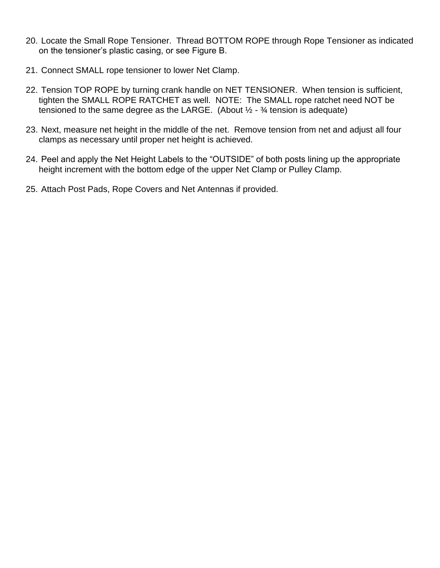- 20. Locate the Small Rope Tensioner. Thread BOTTOM ROPE through Rope Tensioner as indicated on the tensioner's plastic casing, or see Figure B.
- 21. Connect SMALL rope tensioner to lower Net Clamp.
- 22. Tension TOP ROPE by turning crank handle on NET TENSIONER. When tension is sufficient, tighten the SMALL ROPE RATCHET as well. NOTE: The SMALL rope ratchet need NOT be tensioned to the same degree as the LARGE. (About  $\frac{1}{2}$  -  $\frac{3}{4}$  tension is adequate)
- 23. Next, measure net height in the middle of the net. Remove tension from net and adjust all four clamps as necessary until proper net height is achieved.
- 24. Peel and apply the Net Height Labels to the "OUTSIDE" of both posts lining up the appropriate height increment with the bottom edge of the upper Net Clamp or Pulley Clamp.
- 25. Attach Post Pads, Rope Covers and Net Antennas if provided.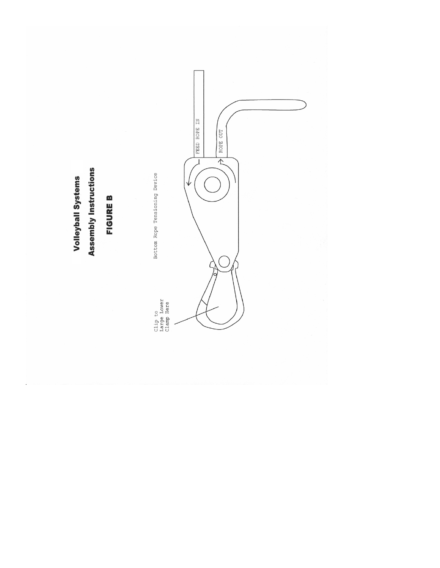